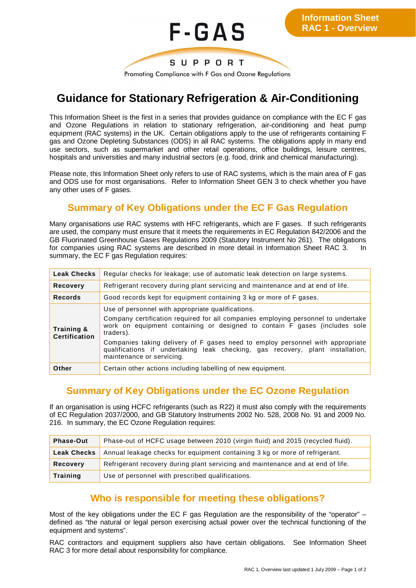

# **Guidance for Stationary Refrigeration & Air-Conditioning**

This Information Sheet is the first in a series that provides guidance on compliance with the EC F gas and Ozone Regulations in relation to stationary refrigeration, air-conditioning and heat pump equipment (RAC systems) in the UK. Certain obligations apply to the use of refrigerants containing F gas and Ozone Depleting Substances (ODS) in all RAC systems. The obligations apply in many end use sectors, such as supermarket and other retail operations, office buildings, leisure centres, hospitals and universities and many industrial sectors (e.g. food, drink and chemical manufacturing).

Please note, this Information Sheet only refers to use of RAC systems, which is the main area of F gas and ODS use for most organisations. Refer to Information Sheet GEN 3 to check whether you have any other uses of F gases.

#### **Summary of Key Obligations under the EC F Gas Regulation**

Many organisations use RAC systems with HFC refrigerants, which are F gases. If such refrigerants are used, the company must ensure that it meets the requirements in EC Regulation 842/2006 and the GB Fluorinated Greenhouse Gases Regulations 2009 (Statutory Instrument No 261). The obligations for companies using RAC systems are described in more detail in Information Sheet RAC 3. In summary, the EC F gas Regulation requires:

| <b>Leak Checks</b>                 | Regular checks for leakage; use of automatic leak detection on large systems.                                                                                                                                                                                                                                                                                                                                                      |
|------------------------------------|------------------------------------------------------------------------------------------------------------------------------------------------------------------------------------------------------------------------------------------------------------------------------------------------------------------------------------------------------------------------------------------------------------------------------------|
| <b>Recovery</b>                    | Refrigerant recovery during plant servicing and maintenance and at end of life.                                                                                                                                                                                                                                                                                                                                                    |
| <b>Records</b>                     | Good records kept for equipment containing 3 kg or more of F gases.                                                                                                                                                                                                                                                                                                                                                                |
| Training &<br><b>Certification</b> | Use of personnel with appropriate qualifications.<br>Company certification required for all companies employing personnel to undertake<br>work on equipment containing or designed to contain F gases (includes sole<br>traders).<br>Companies taking delivery of F gases need to employ personnel with appropriate<br>qualifications if undertaking leak checking, gas recovery, plant installation,<br>maintenance or servicing. |
| Other                              | Certain other actions including labelling of new equipment.                                                                                                                                                                                                                                                                                                                                                                        |

#### **Summary of Key Obligations under the EC Ozone Regulation**

If an organisation is using HCFC refrigerants (such as R22) it must also comply with the requirements of EC Regulation 2037/2000, and GB Statutory Instruments 2002 No. 528, 2008 No. 91 and 2009 No. 216. In summary, the EC Ozone Regulation requires:

| <b>Phase-Out</b>   | Phase-out of HCFC usage between 2010 (virgin fluid) and 2015 (recycled fluid).  |
|--------------------|---------------------------------------------------------------------------------|
| <b>Leak Checks</b> | Annual leakage checks for equipment containing 3 kg or more of refrigerant.     |
| Recovery           | Refrigerant recovery during plant servicing and maintenance and at end of life. |
| Training           | Use of personnel with prescribed qualifications.                                |

### **Who is responsible for meeting these obligations?**

Most of the key obligations under the EC F gas Regulation are the responsibility of the "operator" – defined as "the natural or legal person exercising actual power over the technical functioning of the equipment and systems".

RAC contractors and equipment suppliers also have certain obligations. See Information Sheet RAC 3 for more detail about responsibility for compliance.